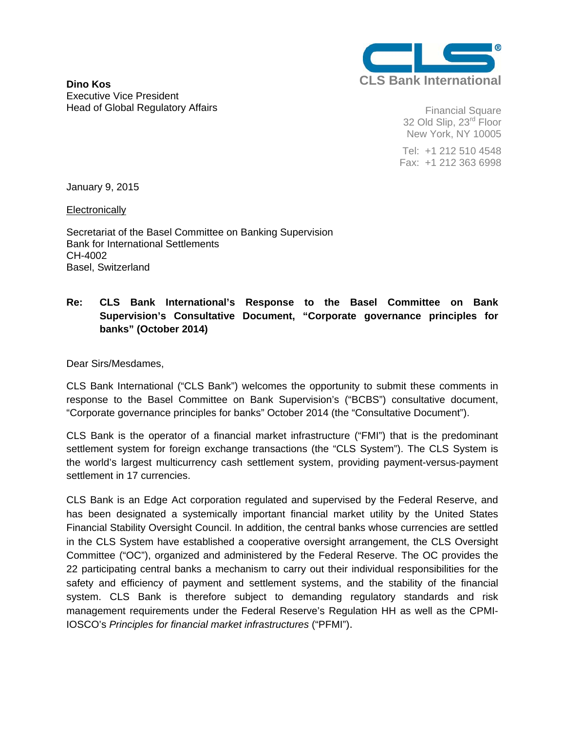

**Dino Kos**  Executive Vice President Head of Global Regulatory Affairs

Financial Square 32 Old Slip, 23<sup>rd</sup> Floor New York, NY 10005

 Tel: +1 212 510 4548 Fax: +1 212 363 6998

January 9, 2015

**Electronically** 

Secretariat of the Basel Committee on Banking Supervision Bank for International Settlements CH-4002 Basel, Switzerland

## **Re: CLS Bank International's Response to the Basel Committee on Bank Supervision's Consultative Document, "Corporate governance principles for banks" (October 2014)**

Dear Sirs/Mesdames,

CLS Bank International ("CLS Bank") welcomes the opportunity to submit these comments in response to the Basel Committee on Bank Supervision's ("BCBS") consultative document, "Corporate governance principles for banks" October 2014 (the "Consultative Document").

CLS Bank is the operator of a financial market infrastructure ("FMI") that is the predominant settlement system for foreign exchange transactions (the "CLS System"). The CLS System is the world's largest multicurrency cash settlement system, providing payment-versus-payment settlement in 17 currencies.

CLS Bank is an Edge Act corporation regulated and supervised by the Federal Reserve, and has been designated a systemically important financial market utility by the United States Financial Stability Oversight Council. In addition, the central banks whose currencies are settled in the CLS System have established a cooperative oversight arrangement, the CLS Oversight Committee ("OC"), organized and administered by the Federal Reserve. The OC provides the 22 participating central banks a mechanism to carry out their individual responsibilities for the safety and efficiency of payment and settlement systems, and the stability of the financial system. CLS Bank is therefore subject to demanding regulatory standards and risk management requirements under the Federal Reserve's Regulation HH as well as the CPMI-IOSCO's *Principles for financial market infrastructures* ("PFMI").